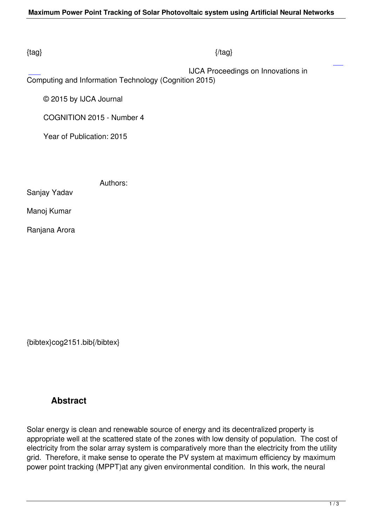#### $\{tag\}$

 IJCA Proceedings on Innovations in Computing and Information Technology (Cognition 2015)

© 2015 by IJCA Journal

COGNITION 2015 - Number 4

Year of Publication: 2015

Authors:

Sanjay Yadav

Manoj Kumar

Ranjana Arora

{bibtex}cog2151.bib{/bibtex}

# **Abstract**

Solar energy is clean and renewable source of energy and its decentralized property is appropriate well at the scattered state of the zones with low density of population. The cost of electricity from the solar array system is comparatively more than the electricity from the utility grid. Therefore, it make sense to operate the PV system at maximum efficiency by maximum power point tracking (MPPT)at any given environmental condition. In this work, the neural